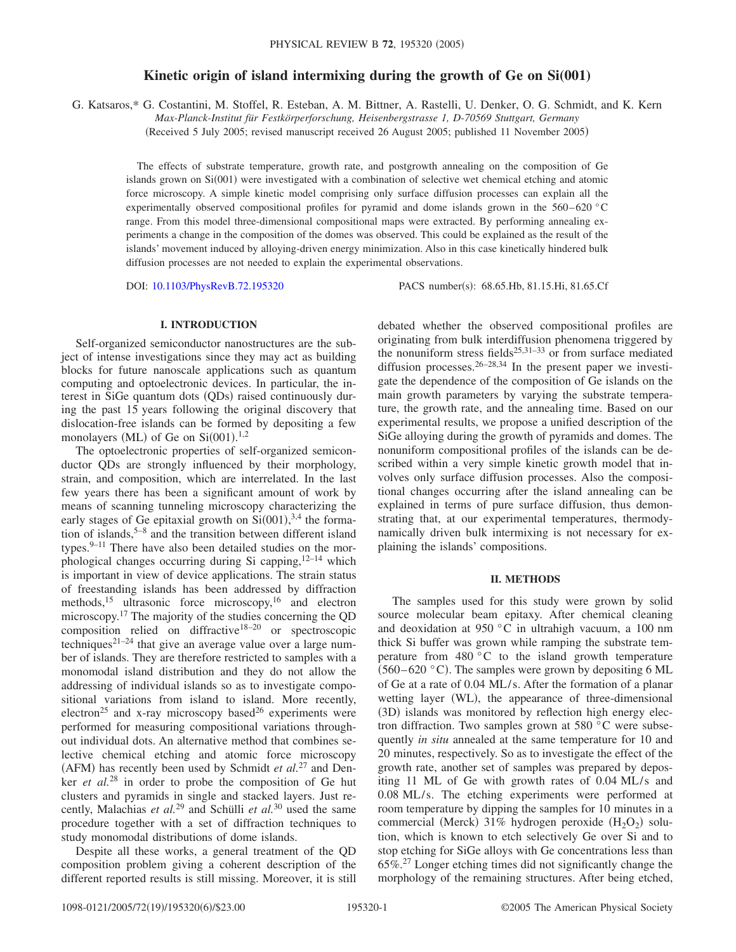# **Kinetic origin of island intermixing during the growth of Ge on Si(001)**

G. Katsaros,\* G. Costantini, M. Stoffel, R. Esteban, A. M. Bittner, A. Rastelli, U. Denker, O. G. Schmidt, and K. Kern

*Max-Planck-Institut für Festkörperforschung, Heisenbergstrasse 1, D-70569 Stuttgart, Germany*

(Received 5 July 2005; revised manuscript received 26 August 2005; published 11 November 2005)

The effects of substrate temperature, growth rate, and postgrowth annealing on the composition of Ge islands grown on Si(001) were investigated with a combination of selective wet chemical etching and atomic force microscopy. A simple kinetic model comprising only surface diffusion processes can explain all the experimentally observed compositional profiles for pyramid and dome islands grown in the  $560-620$  °C range. From this model three-dimensional compositional maps were extracted. By performing annealing experiments a change in the composition of the domes was observed. This could be explained as the result of the islands' movement induced by alloying-driven energy minimization. Also in this case kinetically hindered bulk diffusion processes are not needed to explain the experimental observations.

DOI: [10.1103/PhysRevB.72.195320](http://dx.doi.org/10.1103/PhysRevB.72.195320)

PACS number(s): 68.65.Hb, 81.15.Hi, 81.65.Cf

## **I. INTRODUCTION**

Self-organized semiconductor nanostructures are the subject of intense investigations since they may act as building blocks for future nanoscale applications such as quantum computing and optoelectronic devices. In particular, the interest in SiGe quantum dots (QDs) raised continuously during the past 15 years following the original discovery that dislocation-free islands can be formed by depositing a few monolayers (ML) of Ge on  $Si(001).<sup>1,2</sup>$ 

The optoelectronic properties of self-organized semiconductor QDs are strongly influenced by their morphology, strain, and composition, which are interrelated. In the last few years there has been a significant amount of work by means of scanning tunneling microscopy characterizing the early stages of Ge epitaxial growth on  $Si(001)$ ,<sup>3,4</sup> the formation of islands,  $5-8$  and the transition between different island types. $9-11$  There have also been detailed studies on the morphological changes occurring during Si capping, $12-14$  which is important in view of device applications. The strain status of freestanding islands has been addressed by diffraction methods,<sup>15</sup> ultrasonic force microscopy,<sup>16</sup> and electron microscopy.17 The majority of the studies concerning the QD composition relied on diffractive<sup>18–20</sup> or spectroscopic techniques<sup>21-24</sup> that give an average value over a large number of islands. They are therefore restricted to samples with a monomodal island distribution and they do not allow the addressing of individual islands so as to investigate compositional variations from island to island. More recently, electron<sup>25</sup> and x-ray microscopy based<sup>26</sup> experiments were performed for measuring compositional variations throughout individual dots. An alternative method that combines selective chemical etching and atomic force microscopy (AFM) has recently been used by Schmidt et al.<sup>27</sup> and Denker *et al.*<sup>28</sup> in order to probe the composition of Ge hut clusters and pyramids in single and stacked layers. Just recently, Malachias *et al.*<sup>29</sup> and Schülli *et al.*<sup>30</sup> used the same procedure together with a set of diffraction techniques to study monomodal distributions of dome islands.

Despite all these works, a general treatment of the QD composition problem giving a coherent description of the different reported results is still missing. Moreover, it is still debated whether the observed compositional profiles are originating from bulk interdiffusion phenomena triggered by the nonuniform stress fields<sup>25,31–33</sup> or from surface mediated diffusion processes.  $26-28,34$  In the present paper we investigate the dependence of the composition of Ge islands on the main growth parameters by varying the substrate temperature, the growth rate, and the annealing time. Based on our experimental results, we propose a unified description of the SiGe alloying during the growth of pyramids and domes. The nonuniform compositional profiles of the islands can be described within a very simple kinetic growth model that involves only surface diffusion processes. Also the compositional changes occurring after the island annealing can be explained in terms of pure surface diffusion, thus demonstrating that, at our experimental temperatures, thermodynamically driven bulk intermixing is not necessary for explaining the islands' compositions.

#### **II. METHODS**

The samples used for this study were grown by solid source molecular beam epitaxy. After chemical cleaning and deoxidation at 950 °C in ultrahigh vacuum, a 100 nm thick Si buffer was grown while ramping the substrate temperature from  $480\degree C$  to the island growth temperature  $(560-620 \degree C)$ . The samples were grown by depositing 6 ML of Ge at a rate of 0.04 ML/s. After the formation of a planar wetting layer (WL), the appearance of three-dimensional (3D) islands was monitored by reflection high energy electron diffraction. Two samples grown at 580 °C were subsequently *in situ* annealed at the same temperature for 10 and 20 minutes, respectively. So as to investigate the effect of the growth rate, another set of samples was prepared by depositing 11 ML of Ge with growth rates of 0.04 ML/s and 0.08 ML/s. The etching experiments were performed at room temperature by dipping the samples for 10 minutes in a commercial (Merck) 31% hydrogen peroxide (H<sub>2</sub>O<sub>2</sub>) solution, which is known to etch selectively Ge over Si and to stop etching for SiGe alloys with Ge concentrations less than 65%.27 Longer etching times did not significantly change the morphology of the remaining structures. After being etched,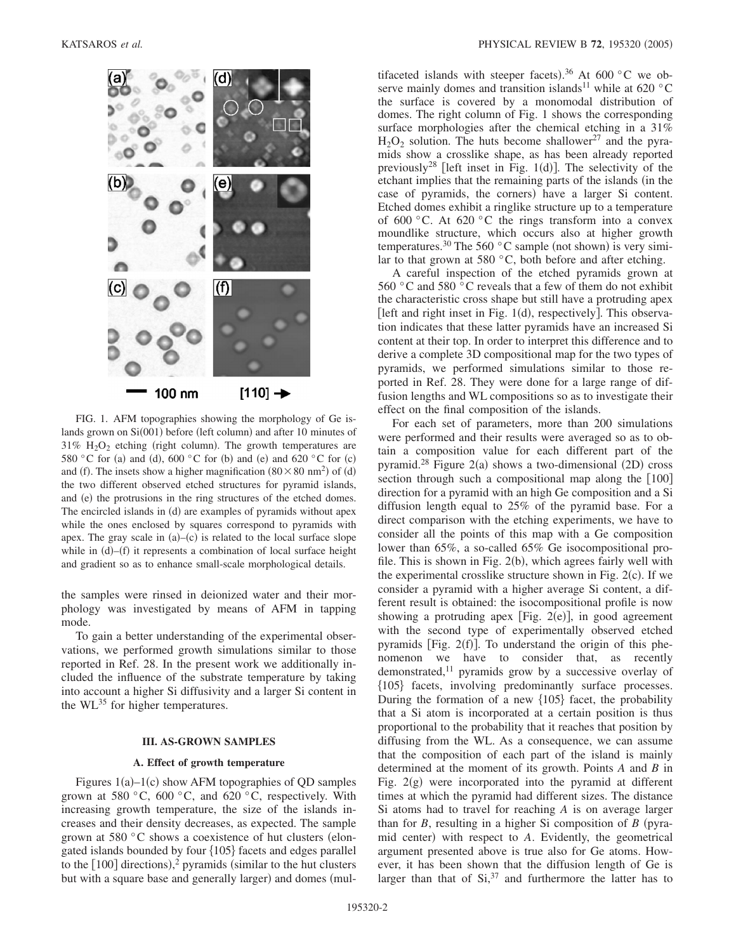

FIG. 1. AFM topographies showing the morphology of Ge islands grown on Si(001) before (left column) and after 10 minutes of  $31\%$  H<sub>2</sub>O<sub>2</sub> etching (right column). The growth temperatures are 580 °C for (a) and (d), 600 °C for (b) and (e) and 620 °C for (c) and (f). The insets show a higher magnification  $(80 \times 80 \text{ nm}^2)$  of (d) the two different observed etched structures for pyramid islands, and (e) the protrusions in the ring structures of the etched domes. The encircled islands in (d) are examples of pyramids without apex while the ones enclosed by squares correspond to pyramids with apex. The gray scale in  $(a)$ - $(c)$  is related to the local surface slope while in  $(d)$ - $(f)$  it represents a combination of local surface height and gradient so as to enhance small-scale morphological details.

the samples were rinsed in deionized water and their morphology was investigated by means of AFM in tapping mode.

To gain a better understanding of the experimental observations, we performed growth simulations similar to those reported in Ref. 28. In the present work we additionally included the influence of the substrate temperature by taking into account a higher Si diffusivity and a larger Si content in the  $WL^{35}$  for higher temperatures.

#### **III. AS-GROWN SAMPLES**

#### **A. Effect of growth temperature**

Figures  $1(a) - 1(c)$  show AFM topographies of QD samples grown at 580  $\degree$ C, 600  $\degree$ C, and 620  $\degree$ C, respectively. With increasing growth temperature, the size of the islands increases and their density decreases, as expected. The sample grown at 580  $\degree$ C shows a coexistence of hut clusters (elongated islands bounded by four  ${105}$  facets and edges parallel to the  $[100]$  directions),<sup>2</sup> pyramids (similar to the hut clusters but with a square base and generally larger) and domes (mul-

tifaceted islands with steeper facets).<sup>36</sup> At 600 °C we observe mainly domes and transition islands<sup>11</sup> while at 620 °C the surface is covered by a monomodal distribution of domes. The right column of Fig. 1 shows the corresponding surface morphologies after the chemical etching in a 31%  $H_2O_2$  solution. The huts become shallower<sup>27</sup> and the pyramids show a crosslike shape, as has been already reported previously<sup>28</sup> [left inset in Fig. 1(d)]. The selectivity of the etchant implies that the remaining parts of the islands (in the case of pyramids, the corners) have a larger Si content. Etched domes exhibit a ringlike structure up to a temperature of 600  $\degree$ C. At 620  $\degree$ C the rings transform into a convex moundlike structure, which occurs also at higher growth temperatures.<sup>30</sup> The 560 °C sample (not shown) is very similar to that grown at 580  $^{\circ}$ C, both before and after etching.

A careful inspection of the etched pyramids grown at 560 °C and 580 °C reveals that a few of them do not exhibit the characteristic cross shape but still have a protruding apex [left and right inset in Fig.  $1(d)$ , respectively]. This observation indicates that these latter pyramids have an increased Si content at their top. In order to interpret this difference and to derive a complete 3D compositional map for the two types of pyramids, we performed simulations similar to those reported in Ref. 28. They were done for a large range of diffusion lengths and WL compositions so as to investigate their effect on the final composition of the islands.

For each set of parameters, more than 200 simulations were performed and their results were averaged so as to obtain a composition value for each different part of the pyramid.<sup>28</sup> Figure 2(a) shows a two-dimensional (2D) cross section through such a compositional map along the  $[100]$ direction for a pyramid with an high Ge composition and a Si diffusion length equal to 25% of the pyramid base. For a direct comparison with the etching experiments, we have to consider all the points of this map with a Ge composition lower than 65%, a so-called 65% Ge isocompositional profile. This is shown in Fig. 2(b), which agrees fairly well with the experimental crosslike structure shown in Fig.  $2(c)$ . If we consider a pyramid with a higher average Si content, a different result is obtained: the isocompositional profile is now showing a protruding apex [Fig.  $2(e)$ ], in good agreement with the second type of experimentally observed etched pyramids [Fig.  $2(f)$ ]. To understand the origin of this phenomenon we have to consider that, as recently demonstrated,<sup>11</sup> pyramids grow by a successive overlay of 105 facets, involving predominantly surface processes. During the formation of a new  $\{105\}$  facet, the probability that a Si atom is incorporated at a certain position is thus proportional to the probability that it reaches that position by diffusing from the WL. As a consequence, we can assume that the composition of each part of the island is mainly determined at the moment of its growth. Points *A* and *B* in Fig. 2(g) were incorporated into the pyramid at different times at which the pyramid had different sizes. The distance Si atoms had to travel for reaching *A* is on average larger than for  $B$ , resulting in a higher Si composition of  $B$  (pyramid center) with respect to *A*. Evidently, the geometrical argument presented above is true also for Ge atoms. However, it has been shown that the diffusion length of Ge is larger than that of  $Si^{37}$  and furthermore the latter has to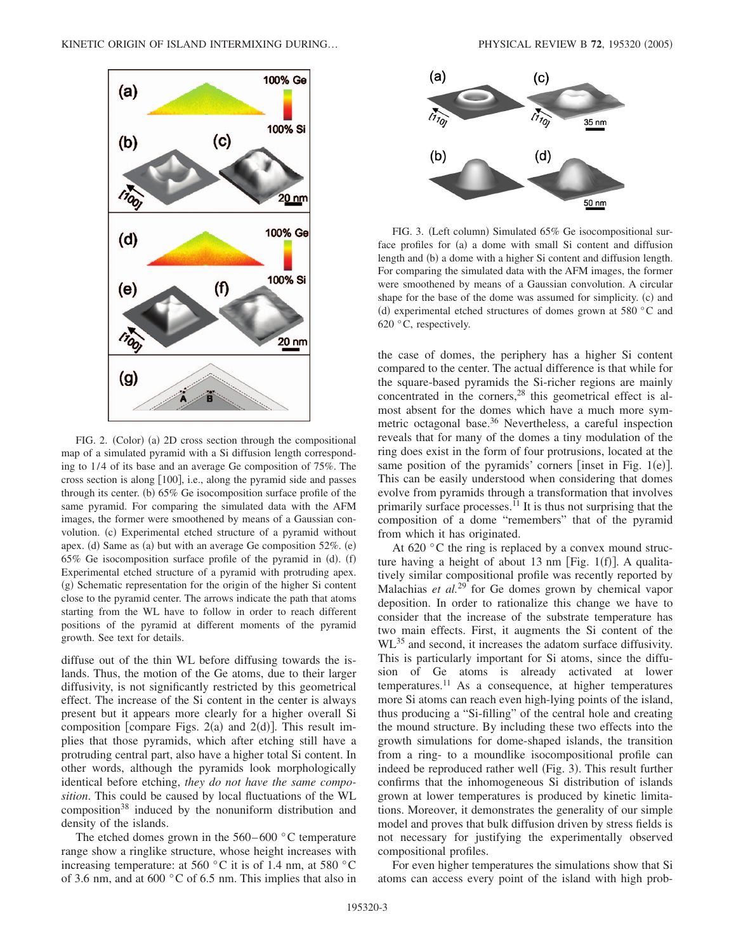

FIG. 2. (Color) (a) 2D cross section through the compositional map of a simulated pyramid with a Si diffusion length corresponding to 1/4 of its base and an average Ge composition of 75%. The cross section is along  $[100]$ , i.e., along the pyramid side and passes through its center. (b) 65% Ge isocomposition surface profile of the same pyramid. For comparing the simulated data with the AFM images, the former were smoothened by means of a Gaussian convolution. (c) Experimental etched structure of a pyramid without apex. (d) Same as (a) but with an average Ge composition 52%. (e)  $65\%$  Ge isocomposition surface profile of the pyramid in (d). (f) Experimental etched structure of a pyramid with protruding apex. (g) Schematic representation for the origin of the higher Si content close to the pyramid center. The arrows indicate the path that atoms starting from the WL have to follow in order to reach different positions of the pyramid at different moments of the pyramid growth. See text for details.

diffuse out of the thin WL before diffusing towards the islands. Thus, the motion of the Ge atoms, due to their larger diffusivity, is not significantly restricted by this geometrical effect. The increase of the Si content in the center is always present but it appears more clearly for a higher overall Si composition [compare Figs.  $2(a)$  and  $2(d)$ ]. This result implies that those pyramids, which after etching still have a protruding central part, also have a higher total Si content. In other words, although the pyramids look morphologically identical before etching, *they do not have the same composition*. This could be caused by local fluctuations of the WL composition<sup>38</sup> induced by the nonuniform distribution and density of the islands.

The etched domes grown in the 560–600 °C temperature range show a ringlike structure, whose height increases with increasing temperature: at 560  $^{\circ}$ C it is of 1.4 nm, at 580  $^{\circ}$ C of 3.6 nm, and at 600 °C of 6.5 nm. This implies that also in



FIG. 3. (Left column) Simulated 65% Ge isocompositional surface profiles for (a) a dome with small Si content and diffusion length and (b) a dome with a higher Si content and diffusion length. For comparing the simulated data with the AFM images, the former were smoothened by means of a Gaussian convolution. A circular shape for the base of the dome was assumed for simplicity. (c) and (d) experimental etched structures of domes grown at 580 °C and 620 °C, respectively.

the case of domes, the periphery has a higher Si content compared to the center. The actual difference is that while for the square-based pyramids the Si-richer regions are mainly concentrated in the corners,<sup>28</sup> this geometrical effect is almost absent for the domes which have a much more symmetric octagonal base.<sup>36</sup> Nevertheless, a careful inspection reveals that for many of the domes a tiny modulation of the ring does exist in the form of four protrusions, located at the same position of the pyramids' corners [inset in Fig.  $1(e)$ ]. This can be easily understood when considering that domes evolve from pyramids through a transformation that involves primarily surface processes.11 It is thus not surprising that the composition of a dome "remembers" that of the pyramid from which it has originated.

At  $620 \degree$ C the ring is replaced by a convex mound structure having a height of about 13 nm [Fig.  $1(f)$ ]. A qualitatively similar compositional profile was recently reported by Malachias *et al.*<sup>29</sup> for Ge domes grown by chemical vapor deposition. In order to rationalize this change we have to consider that the increase of the substrate temperature has two main effects. First, it augments the Si content of the WL<sup>35</sup> and second, it increases the adatom surface diffusivity. This is particularly important for Si atoms, since the diffusion of Ge atoms is already activated at lower temperatures.11 As a consequence, at higher temperatures more Si atoms can reach even high-lying points of the island, thus producing a "Si-filling" of the central hole and creating the mound structure. By including these two effects into the growth simulations for dome-shaped islands, the transition from a ring- to a moundlike isocompositional profile can indeed be reproduced rather well (Fig. 3). This result further confirms that the inhomogeneous Si distribution of islands grown at lower temperatures is produced by kinetic limitations. Moreover, it demonstrates the generality of our simple model and proves that bulk diffusion driven by stress fields is not necessary for justifying the experimentally observed compositional profiles.

For even higher temperatures the simulations show that Si atoms can access every point of the island with high prob-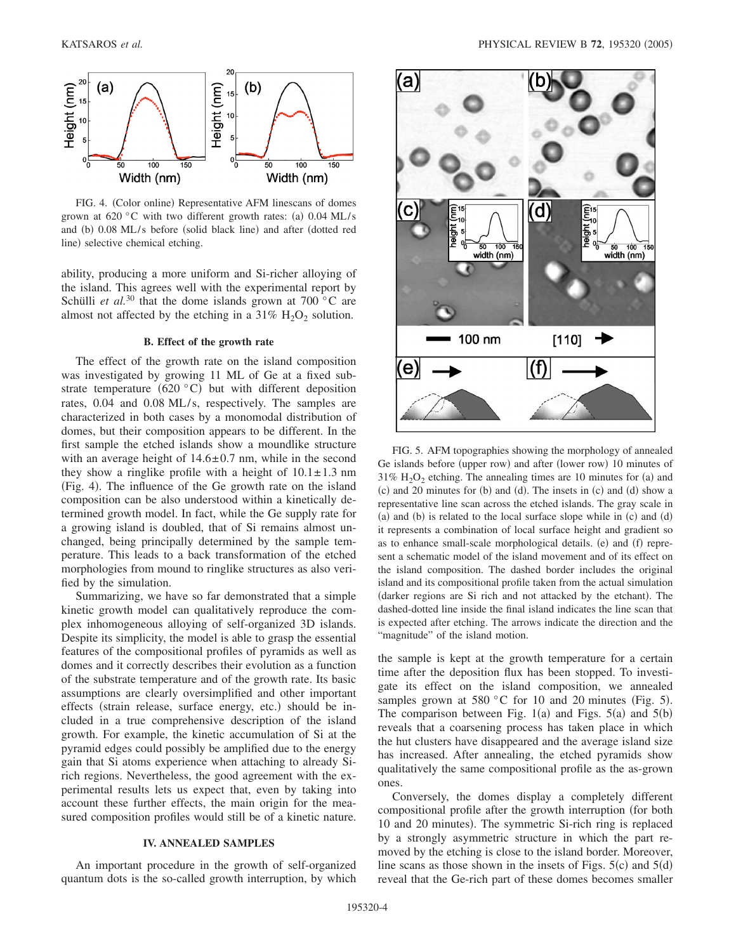

FIG. 4. (Color online) Representative AFM linescans of domes grown at 620 °C with two different growth rates: (a)  $0.04$  ML/s and (b) 0.08 ML/s before (solid black line) and after (dotted red line) selective chemical etching.

ability, producing a more uniform and Si-richer alloying of the island. This agrees well with the experimental report by Schülli *et al.*<sup>30</sup> that the dome islands grown at  $700\degree$ C are almost not affected by the etching in a  $31\%$  H<sub>2</sub>O<sub>2</sub> solution.

#### **B. Effect of the growth rate**

The effect of the growth rate on the island composition was investigated by growing 11 ML of Ge at a fixed substrate temperature  $(620 °C)$  but with different deposition rates, 0.04 and 0.08 ML/s, respectively. The samples are characterized in both cases by a monomodal distribution of domes, but their composition appears to be different. In the first sample the etched islands show a moundlike structure with an average height of  $14.6 \pm 0.7$  nm, while in the second they show a ringlike profile with a height of  $10.1 \pm 1.3$  nm (Fig. 4). The influence of the Ge growth rate on the island composition can be also understood within a kinetically determined growth model. In fact, while the Ge supply rate for a growing island is doubled, that of Si remains almost unchanged, being principally determined by the sample temperature. This leads to a back transformation of the etched morphologies from mound to ringlike structures as also verified by the simulation.

Summarizing, we have so far demonstrated that a simple kinetic growth model can qualitatively reproduce the complex inhomogeneous alloying of self-organized 3D islands. Despite its simplicity, the model is able to grasp the essential features of the compositional profiles of pyramids as well as domes and it correctly describes their evolution as a function of the substrate temperature and of the growth rate. Its basic assumptions are clearly oversimplified and other important effects (strain release, surface energy, etc.) should be included in a true comprehensive description of the island growth. For example, the kinetic accumulation of Si at the pyramid edges could possibly be amplified due to the energy gain that Si atoms experience when attaching to already Sirich regions. Nevertheless, the good agreement with the experimental results lets us expect that, even by taking into account these further effects, the main origin for the measured composition profiles would still be of a kinetic nature.

#### **IV. ANNEALED SAMPLES**

An important procedure in the growth of self-organized quantum dots is the so-called growth interruption, by which



FIG. 5. AFM topographies showing the morphology of annealed Ge islands before (upper row) and after (lower row) 10 minutes of  $31\%$  H<sub>2</sub>O<sub>2</sub> etching. The annealing times are 10 minutes for (a) and (c) and 20 minutes for (b) and (d). The insets in (c) and (d) show a representative line scan across the etched islands. The gray scale in (a) and (b) is related to the local surface slope while in (c) and (d) it represents a combination of local surface height and gradient so as to enhance small-scale morphological details. (e) and (f) represent a schematic model of the island movement and of its effect on the island composition. The dashed border includes the original island and its compositional profile taken from the actual simulation (darker regions are Si rich and not attacked by the etchant). The dashed-dotted line inside the final island indicates the line scan that is expected after etching. The arrows indicate the direction and the "magnitude" of the island motion.

the sample is kept at the growth temperature for a certain time after the deposition flux has been stopped. To investigate its effect on the island composition, we annealed samples grown at 580 °C for 10 and 20 minutes (Fig. 5). The comparison between Fig.  $1(a)$  and Figs.  $5(a)$  and  $5(b)$ reveals that a coarsening process has taken place in which the hut clusters have disappeared and the average island size has increased. After annealing, the etched pyramids show qualitatively the same compositional profile as the as-grown ones.

Conversely, the domes display a completely different compositional profile after the growth interruption (for both 10 and 20 minutes). The symmetric Si-rich ring is replaced by a strongly asymmetric structure in which the part removed by the etching is close to the island border. Moreover, line scans as those shown in the insets of Figs.  $5(c)$  and  $5(d)$ reveal that the Ge-rich part of these domes becomes smaller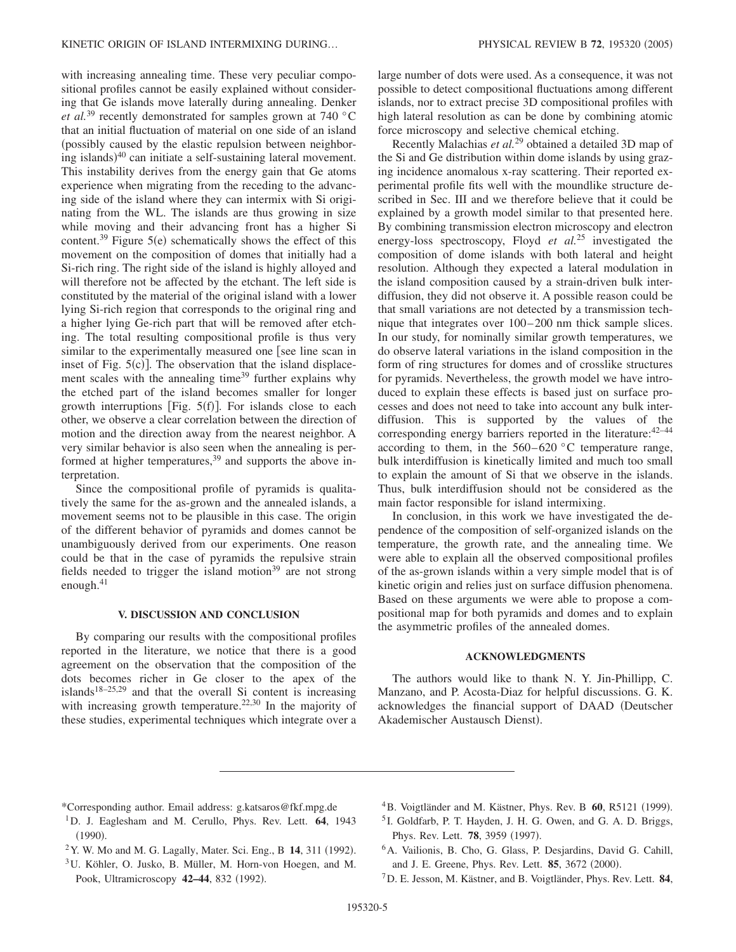with increasing annealing time. These very peculiar compositional profiles cannot be easily explained without considering that Ge islands move laterally during annealing. Denker *et al.*<sup>39</sup> recently demonstrated for samples grown at 740 °C that an initial fluctuation of material on one side of an island possibly caused by the elastic repulsion between neighboring islands)<sup>40</sup> can initiate a self-sustaining lateral movement. This instability derives from the energy gain that Ge atoms experience when migrating from the receding to the advancing side of the island where they can intermix with Si originating from the WL. The islands are thus growing in size while moving and their advancing front has a higher Si content.<sup>39</sup> Figure  $5(e)$  schematically shows the effect of this movement on the composition of domes that initially had a Si-rich ring. The right side of the island is highly alloyed and will therefore not be affected by the etchant. The left side is constituted by the material of the original island with a lower lying Si-rich region that corresponds to the original ring and a higher lying Ge-rich part that will be removed after etching. The total resulting compositional profile is thus very similar to the experimentally measured one [see line scan in inset of Fig.  $5(c)$ ]. The observation that the island displacement scales with the annealing time<sup>39</sup> further explains why the etched part of the island becomes smaller for longer growth interruptions [Fig.  $5(f)$ ]. For islands close to each other, we observe a clear correlation between the direction of motion and the direction away from the nearest neighbor. A very similar behavior is also seen when the annealing is performed at higher temperatures,  $39$  and supports the above interpretation.

Since the compositional profile of pyramids is qualitatively the same for the as-grown and the annealed islands, a movement seems not to be plausible in this case. The origin of the different behavior of pyramids and domes cannot be unambiguously derived from our experiments. One reason could be that in the case of pyramids the repulsive strain fields needed to trigger the island motion $39$  are not strong enough. $41$ 

### **V. DISCUSSION AND CONCLUSION**

By comparing our results with the compositional profiles reported in the literature, we notice that there is a good agreement on the observation that the composition of the dots becomes richer in Ge closer to the apex of the islands<sup>18–25,29</sup> and that the overall Si content is increasing with increasing growth temperature.<sup>22,30</sup> In the majority of these studies, experimental techniques which integrate over a large number of dots were used. As a consequence, it was not possible to detect compositional fluctuations among different islands, nor to extract precise 3D compositional profiles with high lateral resolution as can be done by combining atomic force microscopy and selective chemical etching.

Recently Malachias *et al.*<sup>29</sup> obtained a detailed 3D map of the Si and Ge distribution within dome islands by using grazing incidence anomalous x-ray scattering. Their reported experimental profile fits well with the moundlike structure described in Sec. III and we therefore believe that it could be explained by a growth model similar to that presented here. By combining transmission electron microscopy and electron energy-loss spectroscopy, Floyd *et al.*<sup>25</sup> investigated the composition of dome islands with both lateral and height resolution. Although they expected a lateral modulation in the island composition caused by a strain-driven bulk interdiffusion, they did not observe it. A possible reason could be that small variations are not detected by a transmission technique that integrates over 100–200 nm thick sample slices. In our study, for nominally similar growth temperatures, we do observe lateral variations in the island composition in the form of ring structures for domes and of crosslike structures for pyramids. Nevertheless, the growth model we have introduced to explain these effects is based just on surface processes and does not need to take into account any bulk interdiffusion. This is supported by the values of the corresponding energy barriers reported in the literature:  $42-44$ according to them, in the  $560-620$  °C temperature range, bulk interdiffusion is kinetically limited and much too small to explain the amount of Si that we observe in the islands. Thus, bulk interdiffusion should not be considered as the main factor responsible for island intermixing.

In conclusion, in this work we have investigated the dependence of the composition of self-organized islands on the temperature, the growth rate, and the annealing time. We were able to explain all the observed compositional profiles of the as-grown islands within a very simple model that is of kinetic origin and relies just on surface diffusion phenomena. Based on these arguments we were able to propose a compositional map for both pyramids and domes and to explain the asymmetric profiles of the annealed domes.

### **ACKNOWLEDGMENTS**

The authors would like to thank N. Y. Jin-Phillipp, C. Manzano, and P. Acosta-Diaz for helpful discussions. G. K. acknowledges the financial support of DAAD (Deutscher Akademischer Austausch Dienst).

- \*Corresponding author. Email address: g.katsaros@fkf.mpg.de
- 1D. J. Eaglesham and M. Cerullo, Phys. Rev. Lett. **64**, 1943  $(1990).$
- <sup>2</sup> Y. W. Mo and M. G. Lagally, Mater. Sci. Eng., B **14**, 311 (1992).
- 3U. Köhler, O. Jusko, B. Müller, M. Horn-von Hoegen, and M. Pook, Ultramicroscopy 42-44, 832 (1992).
- <sup>4</sup>B. Voigtländer and M. Kästner, Phys. Rev. B 60, R5121 (1999).
- <sup>5</sup> I. Goldfarb, P. T. Hayden, J. H. G. Owen, and G. A. D. Briggs, Phys. Rev. Lett. **78**, 3959 (1997).
- 6A. Vailionis, B. Cho, G. Glass, P. Desjardins, David G. Cahill, and J. E. Greene, Phys. Rev. Lett. **85**, 3672 (2000).
- 7D. E. Jesson, M. Kästner, and B. Voigtländer, Phys. Rev. Lett. **84**,